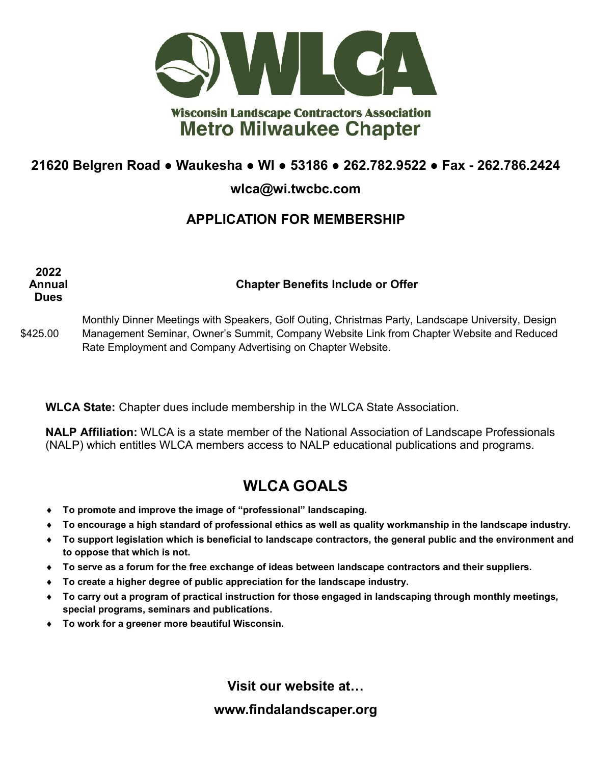

## **Wisconsin Landscape Contractors Association Metro Milwaukee Chapter**

## **21620 Belgren Road ● Waukesha ● WI ● 53186 ● 262.782.9522 ● Fax - 262.786.2424**

#### **wlca@wi.twcbc.com**

## **APPLICATION FOR MEMBERSHIP**

**Annual Dues Chapter Benefits Include or Offer**

\$425.00 Monthly Dinner Meetings with Speakers, Golf Outing, Christmas Party, Landscape University, Design Management Seminar, Owner's Summit, Company Website Link from Chapter Website and Reduced Rate Employment and Company Advertising on Chapter Website.

**WLCA State:** Chapter dues include membership in the WLCA State Association.

**NALP Affiliation:** WLCA is a state member of the National Association of Landscape Professionals (NALP) which entitles WLCA members access to NALP educational publications and programs.

# **WLCA GOALS**

- **To promote and improve the image of "professional" landscaping.**
- **To encourage a high standard of professional ethics as well as quality workmanship in the landscape industry.**
- **To support legislation which is beneficial to landscape contractors, the general public and the environment and to oppose that which is not.**
- **To serve as a forum for the free exchange of ideas between landscape contractors and their suppliers.**
- **To create a higher degree of public appreciation for the landscape industry.**
- **To carry out a program of practical instruction for those engaged in landscaping through monthly meetings, special programs, seminars and publications.**
- **To work for a greener more beautiful Wisconsin.**

**2022**

**Visit our website at…**

**www.findalandscaper.org**